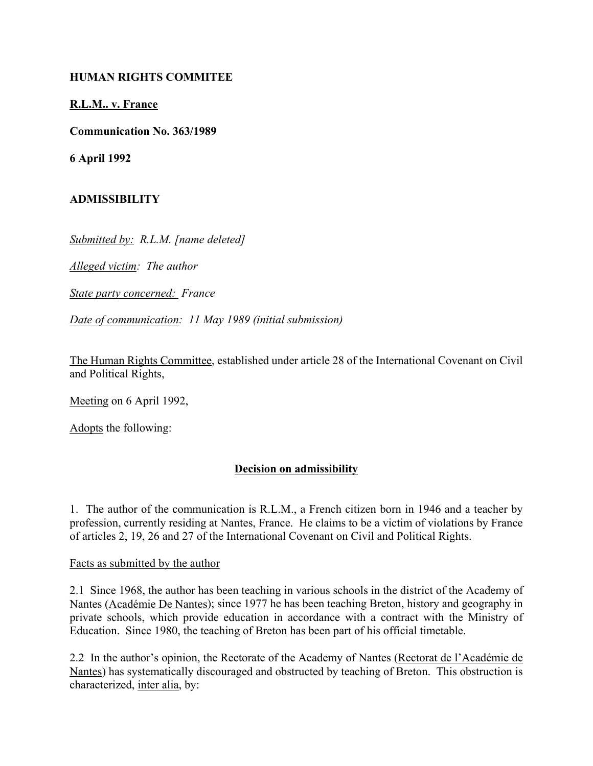# **HUMAN RIGHTS COMMITEE**

### **R.L.M.. v. France**

**Communication No. 363/1989**

**6 April 1992**

# **ADMISSIBILITY**

*Submitted by: R.L.M. [name deleted]*

*Alleged victim: The author*

*State party concerned: France*

*Date of communication: 11 May 1989 (initial submission)*

The Human Rights Committee, established under article 28 of the International Covenant on Civil and Political Rights,

Meeting on 6 April 1992,

Adopts the following:

# **Decision on admissibility**

1. The author of the communication is R.L.M., a French citizen born in 1946 and a teacher by profession, currently residing at Nantes, France. He claims to be a victim of violations by France of articles 2, 19, 26 and 27 of the International Covenant on Civil and Political Rights.

#### Facts as submitted by the author

2.1 Since 1968, the author has been teaching in various schools in the district of the Academy of Nantes (Académie De Nantes); since 1977 he has been teaching Breton, history and geography in private schools, which provide education in accordance with a contract with the Ministry of Education. Since 1980, the teaching of Breton has been part of his official timetable.

2.2 In the author's opinion, the Rectorate of the Academy of Nantes (Rectorat de l'Académie de Nantes) has systematically discouraged and obstructed by teaching of Breton. This obstruction is characterized, inter alia, by: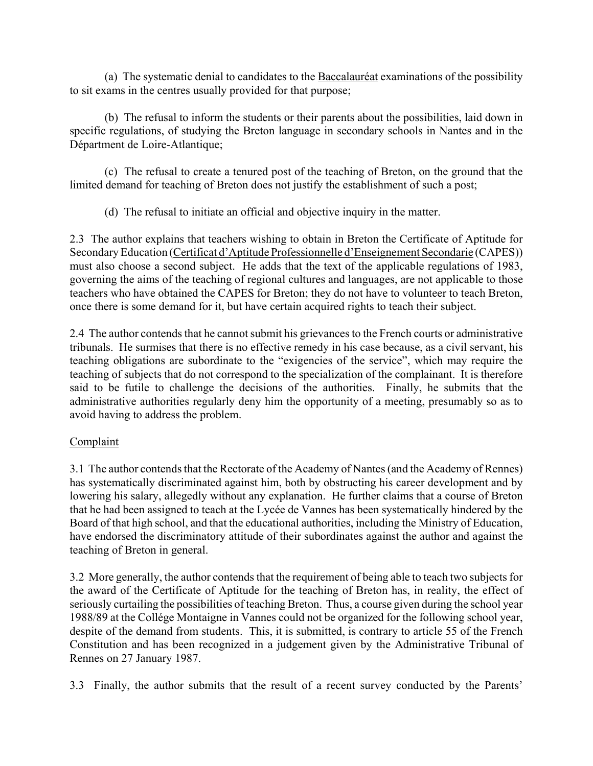(a) The systematic denial to candidates to the **Baccalaur** examinations of the possibility to sit exams in the centres usually provided for that purpose;

(b) The refusal to inform the students or their parents about the possibilities, laid down in specific regulations, of studying the Breton language in secondary schools in Nantes and in the DÈpartment de Loire-Atlantique;

(c) The refusal to create a tenured post of the teaching of Breton, on the ground that the limited demand for teaching of Breton does not justify the establishment of such a post;

(d) The refusal to initiate an official and objective inquiry in the matter.

2.3 The author explains that teachers wishing to obtain in Breton the Certificate of Aptitude for Secondary Education (Certificat d'Aptitude Professionnelle d'Enseignement Secondarie (CAPES)) must also choose a second subject. He adds that the text of the applicable regulations of 1983, governing the aims of the teaching of regional cultures and languages, are not applicable to those teachers who have obtained the CAPES for Breton; they do not have to volunteer to teach Breton, once there is some demand for it, but have certain acquired rights to teach their subject.

2.4 The author contends that he cannot submit his grievances to the French courts or administrative tribunals. He surmises that there is no effective remedy in his case because, as a civil servant, his teaching obligations are subordinate to the "exigencies of the service", which may require the teaching of subjects that do not correspond to the specialization of the complainant. It is therefore said to be futile to challenge the decisions of the authorities. Finally, he submits that the administrative authorities regularly deny him the opportunity of a meeting, presumably so as to avoid having to address the problem.

# **Complaint**

3.1 The author contends that the Rectorate of the Academy of Nantes (and the Academy of Rennes) has systematically discriminated against him, both by obstructing his career development and by lowering his salary, allegedly without any explanation. He further claims that a course of Breton that he had been assigned to teach at the Lycée de Vannes has been systematically hindered by the Board of that high school, and that the educational authorities, including the Ministry of Education, have endorsed the discriminatory attitude of their subordinates against the author and against the teaching of Breton in general.

3.2 More generally, the author contends that the requirement of being able to teach two subjects for the award of the Certificate of Aptitude for the teaching of Breton has, in reality, the effect of seriously curtailing the possibilities of teaching Breton. Thus, a course given during the school year 1988/89 at the CollÈge Montaigne in Vannes could not be organized for the following school year, despite of the demand from students. This, it is submitted, is contrary to article 55 of the French Constitution and has been recognized in a judgement given by the Administrative Tribunal of Rennes on 27 January 1987.

3.3 Finally, the author submits that the result of a recent survey conducted by the Parents'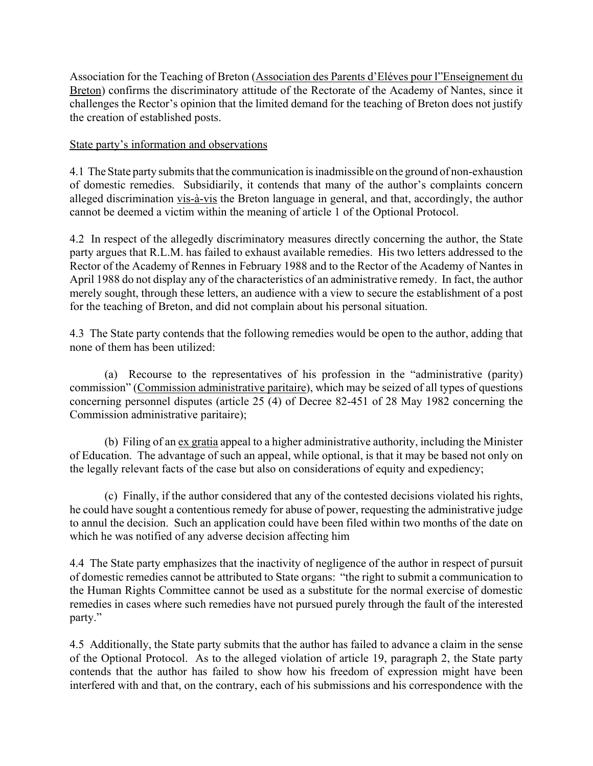Association for the Teaching of Breton (Association des Parents d'Eléves pour l'Enseignement du Breton) confirms the discriminatory attitude of the Rectorate of the Academy of Nantes, since it challenges the Rector's opinion that the limited demand for the teaching of Breton does not justify the creation of established posts.

### State party's information and observations

4.1 The State party submits that the communication is inadmissible on the ground of non-exhaustion of domestic remedies. Subsidiarily, it contends that many of the author's complaints concern alleged discrimination vis-à-vis the Breton language in general, and that, accordingly, the author cannot be deemed a victim within the meaning of article 1 of the Optional Protocol.

4.2 In respect of the allegedly discriminatory measures directly concerning the author, the State party argues that R.L.M. has failed to exhaust available remedies. His two letters addressed to the Rector of the Academy of Rennes in February 1988 and to the Rector of the Academy of Nantes in April 1988 do not display any of the characteristics of an administrative remedy. In fact, the author merely sought, through these letters, an audience with a view to secure the establishment of a post for the teaching of Breton, and did not complain about his personal situation.

4.3 The State party contends that the following remedies would be open to the author, adding that none of them has been utilized:

(a) Recourse to the representatives of his profession in the  $\alpha$  administrative (parity) commission" (Commission administrative paritaire), which may be seized of all types of questions concerning personnel disputes (article 25 (4) of Decree 82-451 of 28 May 1982 concerning the Commission administrative paritaire);

(b) Filing of an ex gratia appeal to a higher administrative authority, including the Minister of Education. The advantage of such an appeal, while optional, is that it may be based not only on the legally relevant facts of the case but also on considerations of equity and expediency;

(c) Finally, if the author considered that any of the contested decisions violated his rights, he could have sought a contentious remedy for abuse of power, requesting the administrative judge to annul the decision. Such an application could have been filed within two months of the date on which he was notified of any adverse decision affecting him

4.4 The State party emphasizes that the inactivity of negligence of the author in respect of pursuit of domestic remedies cannot be attributed to State organs: "the right to submit a communication to the Human Rights Committee cannot be used as a substitute for the normal exercise of domestic remedies in cases where such remedies have not pursued purely through the fault of the interested party."

4.5 Additionally, the State party submits that the author has failed to advance a claim in the sense of the Optional Protocol. As to the alleged violation of article 19, paragraph 2, the State party contends that the author has failed to show how his freedom of expression might have been interfered with and that, on the contrary, each of his submissions and his correspondence with the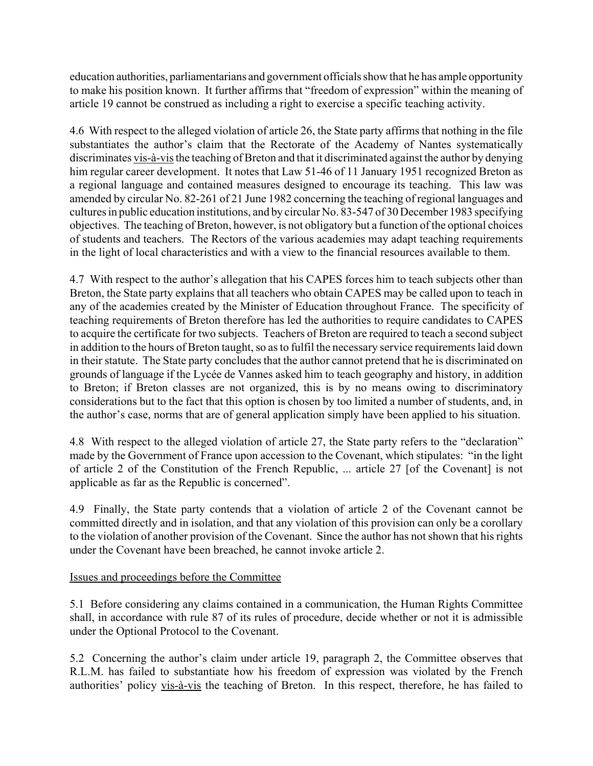education authorities, parliamentarians and government officials show that he has ample opportunity to make his position known. It further affirms that "freedom of expression" within the meaning of article 19 cannot be construed as including a right to exercise a specific teaching activity.

4.6 With respect to the alleged violation of article 26, the State party affirms that nothing in the file substantiates the author's claim that the Rectorate of the Academy of Nantes systematically discriminates vis-à-vis the teaching of Breton and that it discriminated against the author by denying him regular career development. It notes that Law 51-46 of 11 January 1951 recognized Breton as a regional language and contained measures designed to encourage its teaching. This law was amended by circular No. 82-261 of 21 June 1982 concerning the teaching of regional languages and cultures in public education institutions, and by circular No. 83-547 of 30 December 1983 specifying objectives. The teaching of Breton, however, is not obligatory but a function of the optional choices of students and teachers. The Rectors of the various academies may adapt teaching requirements in the light of local characteristics and with a view to the financial resources available to them.

4.7 With respect to the author's allegation that his CAPES forces him to teach subjects other than Breton, the State party explains that all teachers who obtain CAPES may be called upon to teach in any of the academies created by the Minister of Education throughout France. The specificity of teaching requirements of Breton therefore has led the authorities to require candidates to CAPES to acquire the certificate for two subjects. Teachers of Breton are required to teach a second subject in addition to the hours of Breton taught, so as to fulfil the necessary service requirements laid down in their statute. The State party concludes that the author cannot pretend that he is discriminated on grounds of language if the Lycée de Vannes asked him to teach geography and history, in addition to Breton; if Breton classes are not organized, this is by no means owing to discriminatory considerations but to the fact that this option is chosen by too limited a number of students, and, in the author's case, norms that are of general application simply have been applied to his situation.

4.8 With respect to the alleged violation of article 27, the State party refers to the "declaration" made by the Government of France upon accession to the Covenant, which stipulates: "in the light of article 2 of the Constitution of the French Republic, ... article 27 [of the Covenant] is not applicable as far as the Republic is concerned".

4.9 Finally, the State party contends that a violation of article 2 of the Covenant cannot be committed directly and in isolation, and that any violation of this provision can only be a corollary to the violation of another provision of the Covenant. Since the author has not shown that his rights under the Covenant have been breached, he cannot invoke article 2.

# Issues and proceedings before the Committee

5.1 Before considering any claims contained in a communication, the Human Rights Committee shall, in accordance with rule 87 of its rules of procedure, decide whether or not it is admissible under the Optional Protocol to the Covenant.

5.2 Concerning the author's claim under article 19, paragraph 2, the Committee observes that R.L.M. has failed to substantiate how his freedom of expression was violated by the French authorities' policy vis-à-vis the teaching of Breton. In this respect, therefore, he has failed to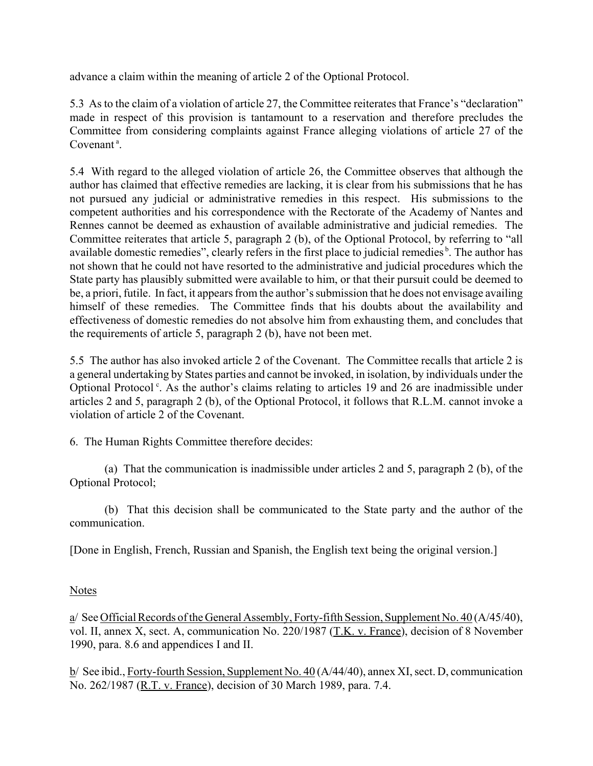advance a claim within the meaning of article 2 of the Optional Protocol.

5.3 As to the claim of a violation of article 27, the Committee reiterates that France's "declaration" made in respect of this provision is tantamount to a reservation and therefore precludes the Committee from considering complaints against France alleging violations of article 27 of the Covenant<sup>a</sup>.

5.4 With regard to the alleged violation of article 26, the Committee observes that although the author has claimed that effective remedies are lacking, it is clear from his submissions that he has not pursued any judicial or administrative remedies in this respect. His submissions to the competent authorities and his correspondence with the Rectorate of the Academy of Nantes and Rennes cannot be deemed as exhaustion of available administrative and judicial remedies. The Committee reiterates that article 5, paragraph 2 (b), of the Optional Protocol, by referring to "all available domestic remedies", clearly refers in the first place to judicial remedies<sup> $b$ </sup>. The author has not shown that he could not have resorted to the administrative and judicial procedures which the State party has plausibly submitted were available to him, or that their pursuit could be deemed to be, a priori, futile. In fact, it appears from the author's submission that he does not envisage availing himself of these remedies. The Committee finds that his doubts about the availability and effectiveness of domestic remedies do not absolve him from exhausting them, and concludes that the requirements of article 5, paragraph 2 (b), have not been met.

5.5 The author has also invoked article 2 of the Covenant. The Committee recalls that article 2 is a general undertaking by States parties and cannot be invoked, in isolation, by individuals under the Optional Protocol<sup> $c$ </sup>. As the author's claims relating to articles 19 and 26 are inadmissible under articles 2 and 5, paragraph 2 (b), of the Optional Protocol, it follows that R.L.M. cannot invoke a violation of article 2 of the Covenant.

6. The Human Rights Committee therefore decides:

(a) That the communication is inadmissible under articles 2 and 5, paragraph 2 (b), of the Optional Protocol;

(b) That this decision shall be communicated to the State party and the author of the communication.

[Done in English, French, Russian and Spanish, the English text being the original version.]

# Notes

a/ See Official Records of the General Assembly, Forty-fifth Session, Supplement No. 40 (A/45/40), vol. II, annex X, sect. A, communication No. 220/1987 (T.K. v. France), decision of 8 November 1990, para. 8.6 and appendices I and II.

b/ See ibid., Forty-fourth Session, Supplement No. 40 (A/44/40), annex XI, sect. D, communication No. 262/1987 (R.T. v. France), decision of 30 March 1989, para. 7.4.